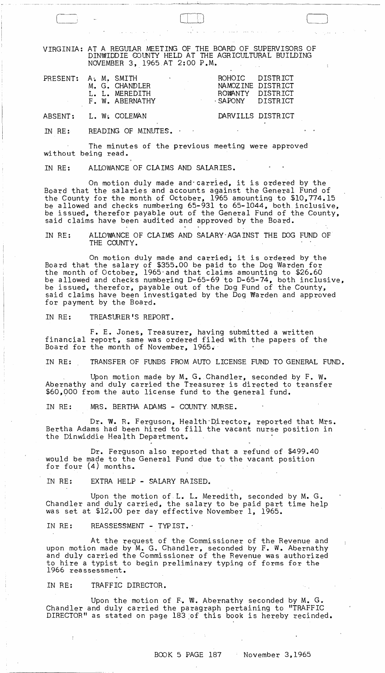VIRGINIA: AT A REGUIAR MEETING OF THE BOARD OF SUPERVISORS OF DIN'WIDDIE COUNTY HELD AT THE AGRICULTURAL BUILDING NOVEMBER 3, 1965 AT 2:00 P.M.

| PRESENT: A. M. SMITH                  |  | M. G. CHANDLER<br>L. L. MEREDITH<br>F. W. ABERNATHY | the company of the | ROHOIC DISTRICT<br>ROWANTY DISTRICT<br>SAPONY DISTRICT | NAMOZINE DISTRICT |
|---------------------------------------|--|-----------------------------------------------------|--------------------|--------------------------------------------------------|-------------------|
| $\lambda$ m m m $\lambda$ m $\lambda$ |  | $\mathbf{r}$ and $\mathbf{r}$ and $\mathbf{r}$      |                    |                                                        |                   |

## ABSENT: L. W. COLEMAN DARVILLS DISTRICT

IN RE: READING OF MINUTES.

The minutes of the previous meeting were approved without being read.

IN RE: ALLOWANCE OF CLAIMS AND SALARIES.

On motion duly made and carried, it is ordered by the Board that the salaries and accounts against the General Fund of the County for the month of October, 1965 amounting to \$10,774.15 be allowed and checks numbering 65-931 to 65-1044, both. inclusive, be issued, therefor payable out of the General Fund of the County, said claims have been audited and approved by the Board.

IN RE: ALLOWANCE OF CLAIMS AND SALARY AGAINST THE DOG FUND OF THE COUNTY.

On motion duly made and carried; it is ordered by the Board that the salary of \$355.00 be paid to the Dog Warden for the month of October, 1965 and that claims amounting to \$26.60 be allowed and checks numbering D-65-69 to D-65-74, both inclusive, be issued, therefor, payable out of the Dog Fund of the County, said claims have been investigated by the Dog Warden and approved for payment by the Board.

IN RE: TREASURER'S REPORT.

F. E. Jones, Treasurer, having submitted a written financial report, same was ordered filed with the papers of the Board for the month of November, 1965.

IN RE: TRANSFER OF FUNBS FROM AUTO LICENSE FUND TO GENERAL FUND.

Upon motion made by  $M_{\star}$  G. Chandler, seconded by  $F_{\star}$  W. Abernathy and duly carried the Treasurer is directed to transfer \$60,000 from the auto license fund to the general fund.

IN RE: MRS. BERTHA ADAMS - COUNTY NURSE.

Dr. W. R. Ferguson, Health Director, reported that Mrs. Bertha Adams had been hired to fill the vacant nurse position in the Dinwiddie Health Department,

Dr. Ferguson also reported that a refund of \$499.40 would be made to the General Fund due to the vacant position for four (4) months.

IN RE: EXTRA HELP - SALARY RAISED.

Upon the motion of  $L_{\bullet}$  L. Meredith, seconded by M. G. Chandler and duly carried, the salary to be paid part time help was set at \$12.00 per day effective November 1, 1965.

IN RE: REASSESSMENT - TYPIST.

At the request of the Commissioner of the Revenue and upon motion made by M. G. Chandler, seconded by F. W. Abernathy and duly carried the Commissioner of the Revenue was authorized to hire a typist to begin preliminary typing of forms for the 1966 reassessment.

IN RE: TRAFFIC DIRECTOR.

Upon the motion of  $F$ . W. Abernathy seconded by M. G. Chandler and duly carried the paragraph pertaining to "TRAFFIC DIRECTOR" as stated on page 183 of this book is hereby recinded.

 $\sim$   $\lesssim$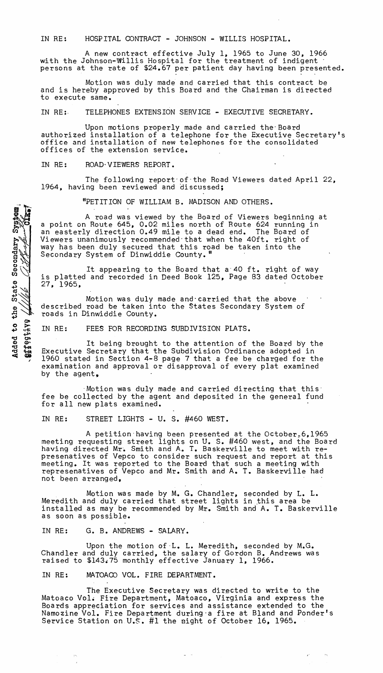IN RE: HOSPITAL CONTRACT - JOHNSON - WILLIS HOSPITAL.

A new contract effective July 1, 1965 to June 30, 1966 with the Johnson-Willis Hospital for the treatment of indigent<br>persons at the rate of \$24.67 per patient day having been presented.

Motion was duly made and carried that this contract be and is hereby approved by this Board and the Chairman is directed to execute same.

IN RE:, TELEPHONES EXTENSION SERVICE - EXECUTIVE SECRETARY.

Upon motions properly made and carried the-Board authorized installation of a telephone for the Executive Secretary's office and installation of new telephones for the consolidated offices of the extension service.

IN RE: ROAD VIEWERS REPORT.

Added to the State Secondary System

**BIRGGIIVS** 

The following report of the Road Viewers dated April 22, 1964, having been reviewed and discussed;

"PETITION OF WILLIAM B. MADISON AND OTHERS.

A road was viewed by the Board of Viewers beginning at a point on Route 645, 0.02 miles north of Route 624 running in an easterly direction 0.49 mile to a dead end. The Board of Viewers unanimously recommended-that when the 40ft. right of way has been duly secured that this road be taken into the Secondary System of Dinwiddie County."

It appearing to the Board that a'40 ft. right of way is platted and recorded in Deed Book 125, Page 83 dated October 27, 1965.

Motion was duly made and carried that the above described road be taken into the States Secondary System of roads in Dinwiddie County.

IN RE: FEES FOR RECORDING SUBDIVISION PLATS.

It being brought to the attention of the Board by the Executive Secretary that the Subdivision Ordinance adopted in 1960 stated in Section 4-8 page 7 that a fee be charged for the examination and approval or disapproval of every plat examined by the agent.

 $\,$  Motion was duly made and carried directing that this: fee be collected by the agent and deposited in the general fund for all new plats examined.

IN RE: STREET LIGHTS - U. S. #460 WEST.

A petition having been presented at the October, 6, 1965 meeting requesting street lights on U. S. #460 west, and the Board having directed Mr. Smith and A. T. Baskerville to meet with represenatives of Vepco to consider such request and report at this meeting. It was reported to the Board that such a meeting with represenatives of Vepco and Mr. Smith and A. T. Baskerville had not been arranged,

Motion was made by M. G. Chandler, seconded by L. L. Meredith and duly carried that street lights in this area be installed as may be recommended by Mr. Smith and A. T. Baskerville as soon as possible.

IN RE: G. B. ANDREWS - SALARY.

Upon the motion of-L. L. Meredith, seconded by M.G. Chandler and duly carried, the salary of Gordon B. Andrews was raised to \$143.75 monthly effective January 1, 1966.

IN RE: MATOACO VOL. FIRE DEPARTMENT.

The Executive Secretary was directed to write to the Matoaco Vol. Fire Department, Matoaco, Virginia and express the Boards appreciation for services and assistance extended to the Namozine Vol. Fire Department during·a fire at Bland and Ponder's Service Station on U.S. #1 the might of October 16, 1965.

 $\epsilon^*$  . <br> <br> . <br> <br> <br> <br> <br> <br> <br> <br><br><br><br><br><br><br><br><br><br>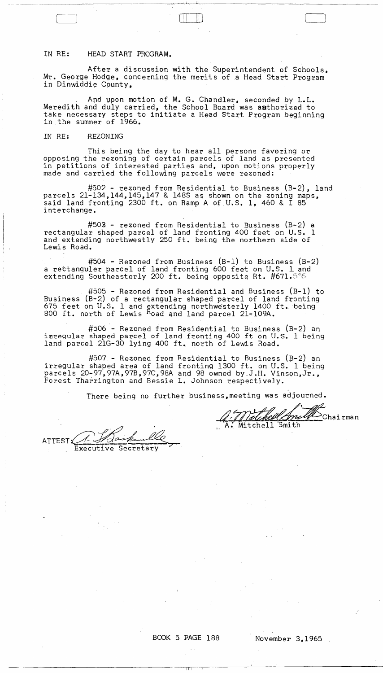## IN RE: HEAD START PROGRAM.

After a discussion with the Superintendent of Schools, Mr. George Hodge, concerning the merits of a Head Start Program in Dinwiddie County,

اب رانيه

 $(\bigsqcup \bigsqcup \bigsqcup$ 

And upon motion of M. G. Chandler, seconded by L.L. Meredith and duly carried, the School Board was authorized to take necessary steps to initiate a Head Start Program beginning<br>in the summer of 1966.

## IN RE: REZONING

This being the day to hear all persons favoring or opposing the rezoning of certain parcels of land as presented in petitions of interested parties and, upon motions properly made and carried the following parcels were rezoned:

#502 - rezoned from Residential to Business (B-2), land parcels 21-134,144.145,147 & l48S as shown on the zoning maps, said land fronting 2300 ft. on Ramp A of U.S. 1, 460 &  $\overline{1}$  85 interchange.

#50J - rezoned from Residential to Business (B-2) a rectangular shaped parcel of land fronting 400 feet on U.S. 1 and extending northwestly 250 ft. being the northern side of Lewis Road.

#504 - Rezoned from Business (B-1) to Business (B-2) a rettanguler parcel of land fronting 600 feet on U.S. 1 and extending Southeasterly 200 ft. being opposite Rt. #671.565

#505 - Rezoned from Residential and Business (B-1) to Business (B-2) of a rectangular shaped parcel of land fronting 675 feet on U.S. 1 and extending northwesterly 1400 ft. being 800 ft. north of Lewis Road and land parcel 2l-109A.

#506 - Rezoned from Residential to Business (B-2) an inregular shaped parcel of land fronting 400 ft on U.S. 1 being land parcel 21G-30 lying 400 ft. north of Lewis Road.

#507 - Rezoned from Residential to Business (S-2) an irregular shaped area of land fronting 1300 ft. on U.S. 1 being parcels 20-97,97A,97B,97C,98A and 98 owned by J.H. Vinson,Jr., Forest Tharrington and Bessie L. Johnson respectively.

There being no further business, meeting was adjourned.

ATTEST 2 1000 Punce

 $\Pi\top$ 

BOOK 5 PAGE 188 November 3,1965

*Ji<u>dihell AniUl*</u> Chairman<br>Mitchell Smith